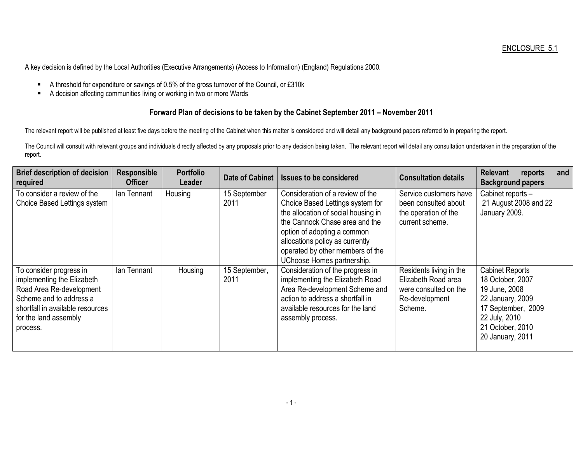A key decision is defined by the Local Authorities (Executive Arrangements) (Access to Information) (England) Regulations 2000.

- A threshold for expenditure or savings of 0.5% of the gross turnover of the Council, or £310k
- $\blacksquare$ A decision affecting communities living or working in two or more Wards

## Forward Plan of decisions to be taken by the Cabinet September 2011 – November 2011

The relevant report will be published at least five days before the meeting of the Cabinet when this matter is considered and will detail any background papers referred to in preparing the report.

The Council will consult with relevant groups and individuals directly affected by any proposals prior to any decision being taken. The relevant report will detail any consultation undertaken in the preparation of the report.

| <b>Brief description of decision</b><br>required                                                                                                                                      | <b>Responsible</b><br><b>Officer</b> | <b>Portfolio</b><br>Leader | <b>Date of Cabinet</b> | <b>Issues to be considered</b>                                                                                                                                                                                                                                                    | <b>Consultation details</b>                                                                          | <b>Relevant</b><br>and<br>reports<br><b>Background papers</b>                                                                                                  |
|---------------------------------------------------------------------------------------------------------------------------------------------------------------------------------------|--------------------------------------|----------------------------|------------------------|-----------------------------------------------------------------------------------------------------------------------------------------------------------------------------------------------------------------------------------------------------------------------------------|------------------------------------------------------------------------------------------------------|----------------------------------------------------------------------------------------------------------------------------------------------------------------|
| To consider a review of the<br>Choice Based Lettings system                                                                                                                           | lan Tennant                          | Housing                    | 15 September<br>2011   | Consideration of a review of the<br>Choice Based Lettings system for<br>the allocation of social housing in<br>the Cannock Chase area and the<br>option of adopting a common<br>allocations policy as currently<br>operated by other members of the<br>UChoose Homes partnership. | Service customers have<br>been consulted about<br>the operation of the<br>current scheme.            | Cabinet reports -<br>21 August 2008 and 22<br>January 2009.                                                                                                    |
| To consider progress in<br>implementing the Elizabeth<br>Road Area Re-development<br>Scheme and to address a<br>shortfall in available resources<br>for the land assembly<br>process. | lan Tennant                          | Housing                    | 15 September,<br>2011  | Consideration of the progress in<br>implementing the Elizabeth Road<br>Area Re-development Scheme and<br>action to address a shortfall in<br>available resources for the land<br>assembly process.                                                                                | Residents living in the<br>Elizabeth Road area<br>were consulted on the<br>Re-development<br>Scheme. | <b>Cabinet Reports</b><br>18 October, 2007<br>19 June, 2008<br>22 January, 2009<br>17 September, 2009<br>22 July, 2010<br>21 October, 2010<br>20 January, 2011 |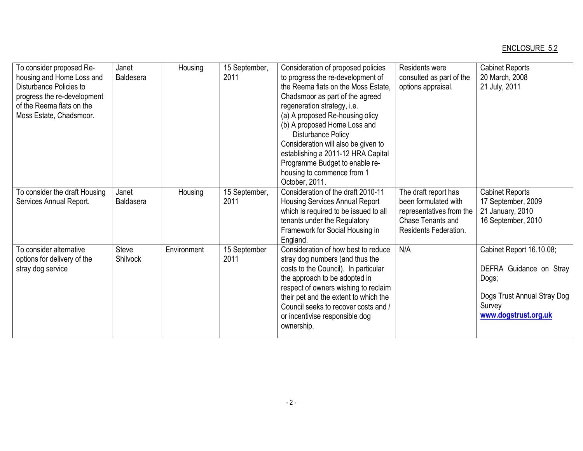## ENCLOSURE 5.2

| To consider proposed Re-<br>housing and Home Loss and<br>Disturbance Policies to<br>progress the re-development<br>of the Reema flats on the<br>Moss Estate, Chadsmoor. | Janet<br><b>Baldesera</b> | Housing     | 15 September,<br>2011 | Consideration of proposed policies<br>to progress the re-development of<br>the Reema flats on the Moss Estate.<br>Chadsmoor as part of the agreed<br>regeneration strategy, i.e.<br>(a) A proposed Re-housing olicy<br>(b) A proposed Home Loss and<br><b>Disturbance Policy</b><br>Consideration will also be given to<br>establishing a 2011-12 HRA Capital<br>Programme Budget to enable re-<br>housing to commence from 1<br>October, 2011. | Residents were<br>consulted as part of the<br>options appraisal.                                                       | <b>Cabinet Reports</b><br>20 March, 2008<br>21 July, 2011                                                                     |
|-------------------------------------------------------------------------------------------------------------------------------------------------------------------------|---------------------------|-------------|-----------------------|-------------------------------------------------------------------------------------------------------------------------------------------------------------------------------------------------------------------------------------------------------------------------------------------------------------------------------------------------------------------------------------------------------------------------------------------------|------------------------------------------------------------------------------------------------------------------------|-------------------------------------------------------------------------------------------------------------------------------|
| To consider the draft Housing<br>Services Annual Report.                                                                                                                | Janet<br><b>Baldasera</b> | Housing     | 15 September,<br>2011 | Consideration of the draft 2010-11<br><b>Housing Services Annual Report</b><br>which is required to be issued to all<br>tenants under the Regulatory<br>Framework for Social Housing in<br>England.                                                                                                                                                                                                                                             | The draft report has<br>been formulated with<br>representatives from the<br>Chase Tenants and<br>Residents Federation. | <b>Cabinet Reports</b><br>17 September, 2009<br>21 January, 2010<br>16 September, 2010                                        |
| To consider alternative<br>options for delivery of the<br>stray dog service                                                                                             | <b>Steve</b><br>Shilvock  | Environment | 15 September<br>2011  | Consideration of how best to reduce<br>stray dog numbers (and thus the<br>costs to the Council). In particular<br>the approach to be adopted in<br>respect of owners wishing to reclaim<br>their pet and the extent to which the<br>Council seeks to recover costs and /<br>or incentivise responsible dog<br>ownership.                                                                                                                        | N/A                                                                                                                    | Cabinet Report 16.10.08;<br>DEFRA Guidance on Stray<br>Dogs;<br>Dogs Trust Annual Stray Dog<br>Survey<br>www.dogstrust.org.uk |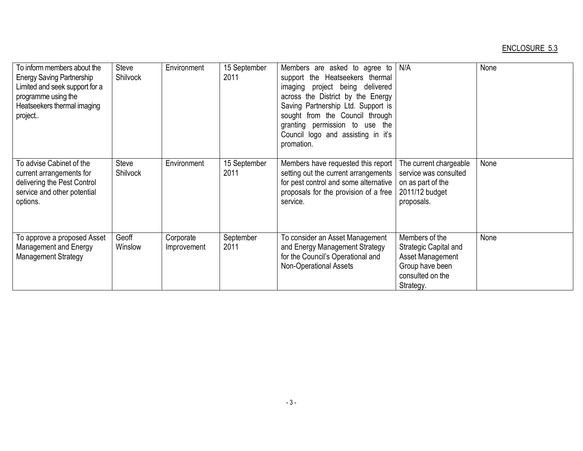## ENCLOSURE 5.3

| To inform members about the<br><b>Energy Saving Partnership</b><br>Limited and seek support for a<br>programme using the<br>Heatseekers thermal imaging<br>project | Steve<br>Shilvock | Environment              | 15 September<br>2011 | Members are asked to agree to<br>support the Heatseekers thermal<br>imaging project being delivered<br>across the District by the Energy<br>Saving Partnership Ltd. Support is<br>sought from the Council through<br>granting permission to use the<br>Council logo and assisting in it's<br>promation. | N/A                                                                                                             | None |
|--------------------------------------------------------------------------------------------------------------------------------------------------------------------|-------------------|--------------------------|----------------------|---------------------------------------------------------------------------------------------------------------------------------------------------------------------------------------------------------------------------------------------------------------------------------------------------------|-----------------------------------------------------------------------------------------------------------------|------|
| To advise Cabinet of the<br>current arrangements for<br>delivering the Pest Control<br>service and other potential<br>options.                                     | Steve<br>Shilvock | Environment              | 15 September<br>2011 | Members have requested this report<br>setting out the current arrangements<br>for pest control and some alternative<br>proposals for the provision of a free<br>service.                                                                                                                                | The current chargeable<br>service was consulted<br>on as part of the<br>2011/12 budget<br>proposals.            | None |
| To approve a proposed Asset<br>Management and Energy<br><b>Management Strategy</b>                                                                                 | Geoff<br>Winslow  | Corporate<br>Improvement | September<br>2011    | To consider an Asset Management<br>and Energy Management Strategy<br>for the Council's Operational and<br>Non-Operational Assets                                                                                                                                                                        | Members of the<br>Strategic Capital and<br>Asset Management<br>Group have been<br>consulted on the<br>Strategy. | None |